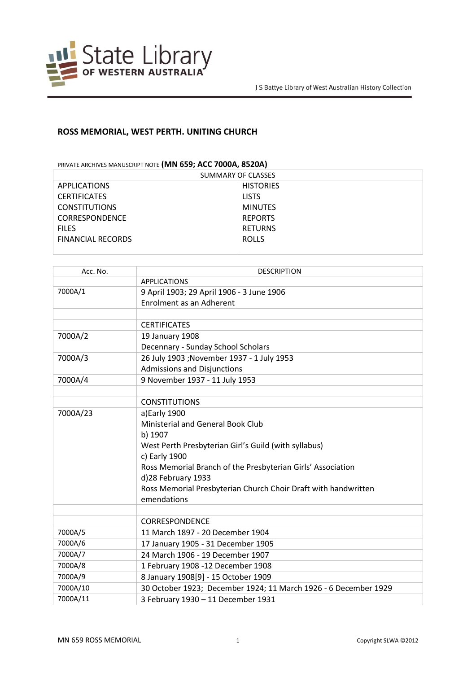

## **ROSS MEMORIAL, WEST PERTH. UNITING CHURCH**

PRIVATE ARCHIVES MANUSCRIPT NOTE **(MN 659; ACC 7000A, 8520A)**

| SUMMARY OF CLASSES       |                  |  |
|--------------------------|------------------|--|
| <b>APPLICATIONS</b>      | <b>HISTORIES</b> |  |
| <b>CERTIFICATES</b>      | <b>LISTS</b>     |  |
| <b>CONSTITUTIONS</b>     | <b>MINUTES</b>   |  |
| <b>CORRESPONDENCE</b>    | <b>REPORTS</b>   |  |
| <b>FILES</b>             | <b>RETURNS</b>   |  |
| <b>FINANCIAL RECORDS</b> | <b>ROLLS</b>     |  |
|                          |                  |  |

| Acc. No. | <b>DESCRIPTION</b>                                              |
|----------|-----------------------------------------------------------------|
|          | <b>APPLICATIONS</b>                                             |
| 7000A/1  | 9 April 1903; 29 April 1906 - 3 June 1906                       |
|          | Enrolment as an Adherent                                        |
|          |                                                                 |
|          | <b>CERTIFICATES</b>                                             |
| 7000A/2  | 19 January 1908                                                 |
|          | Decennary - Sunday School Scholars                              |
| 7000A/3  | 26 July 1903 ; November 1937 - 1 July 1953                      |
|          | <b>Admissions and Disjunctions</b>                              |
| 7000A/4  | 9 November 1937 - 11 July 1953                                  |
|          |                                                                 |
|          | <b>CONSTITUTIONS</b>                                            |
| 7000A/23 | a)Early 1900                                                    |
|          | Ministerial and General Book Club                               |
|          | b) 1907                                                         |
|          | West Perth Presbyterian Girl's Guild (with syllabus)            |
|          | c) Early 1900                                                   |
|          | Ross Memorial Branch of the Presbyterian Girls' Association     |
|          | d)28 February 1933                                              |
|          | Ross Memorial Presbyterian Church Choir Draft with handwritten  |
|          | emendations                                                     |
|          |                                                                 |
|          | <b>CORRESPONDENCE</b>                                           |
| 7000A/5  | 11 March 1897 - 20 December 1904                                |
| 7000A/6  | 17 January 1905 - 31 December 1905                              |
| 7000A/7  | 24 March 1906 - 19 December 1907                                |
| 7000A/8  | 1 February 1908 -12 December 1908                               |
| 7000A/9  | 8 January 1908[9] - 15 October 1909                             |
| 7000A/10 | 30 October 1923; December 1924; 11 March 1926 - 6 December 1929 |
| 7000A/11 | 3 February 1930 - 11 December 1931                              |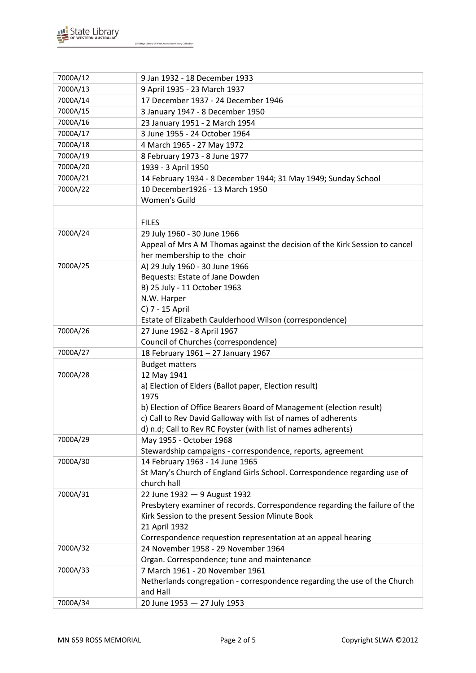

| 7000A/12 | 9 Jan 1932 - 18 December 1933                                               |
|----------|-----------------------------------------------------------------------------|
| 7000A/13 | 9 April 1935 - 23 March 1937                                                |
| 7000A/14 | 17 December 1937 - 24 December 1946                                         |
| 7000A/15 | 3 January 1947 - 8 December 1950                                            |
| 7000A/16 | 23 January 1951 - 2 March 1954                                              |
| 7000A/17 | 3 June 1955 - 24 October 1964                                               |
| 7000A/18 | 4 March 1965 - 27 May 1972                                                  |
| 7000A/19 | 8 February 1973 - 8 June 1977                                               |
| 7000A/20 | 1939 - 3 April 1950                                                         |
| 7000A/21 | 14 February 1934 - 8 December 1944; 31 May 1949; Sunday School              |
| 7000A/22 | 10 December1926 - 13 March 1950                                             |
|          | Women's Guild                                                               |
|          |                                                                             |
|          | <b>FILES</b>                                                                |
| 7000A/24 | 29 July 1960 - 30 June 1966                                                 |
|          | Appeal of Mrs A M Thomas against the decision of the Kirk Session to cancel |
|          | her membership to the choir                                                 |
| 7000A/25 | A) 29 July 1960 - 30 June 1966                                              |
|          | Bequests: Estate of Jane Dowden                                             |
|          | B) 25 July - 11 October 1963                                                |
|          | N.W. Harper                                                                 |
|          | C) 7 - 15 April                                                             |
|          | Estate of Elizabeth Caulderhood Wilson (correspondence)                     |
| 7000A/26 | 27 June 1962 - 8 April 1967                                                 |
|          | Council of Churches (correspondence)                                        |
| 7000A/27 | 18 February 1961 - 27 January 1967                                          |
|          | <b>Budget matters</b>                                                       |
| 7000A/28 | 12 May 1941                                                                 |
|          | a) Election of Elders (Ballot paper, Election result)                       |
|          | 1975                                                                        |
|          | b) Election of Office Bearers Board of Management (election result)         |
|          | c) Call to Rev David Galloway with list of names of adherents               |
|          | d) n.d; Call to Rev RC Foyster (with list of names adherents)               |
| 7000A/29 | May 1955 - October 1968                                                     |
|          | Stewardship campaigns - correspondence, reports, agreement                  |
| 7000A/30 | 14 February 1963 - 14 June 1965                                             |
|          | St Mary's Church of England Girls School. Correspondence regarding use of   |
|          | church hall                                                                 |
| 7000A/31 | 22 June 1932 - 9 August 1932                                                |
|          | Presbytery examiner of records. Correspondence regarding the failure of the |
|          | Kirk Session to the present Session Minute Book                             |
|          | 21 April 1932                                                               |
|          | Correspondence requestion representation at an appeal hearing               |
| 7000A/32 | 24 November 1958 - 29 November 1964                                         |
|          | Organ. Correspondence; tune and maintenance                                 |
| 7000A/33 | 7 March 1961 - 20 November 1961                                             |
|          | Netherlands congregation - correspondence regarding the use of the Church   |
|          | and Hall                                                                    |
| 7000A/34 | 20 June 1953 - 27 July 1953                                                 |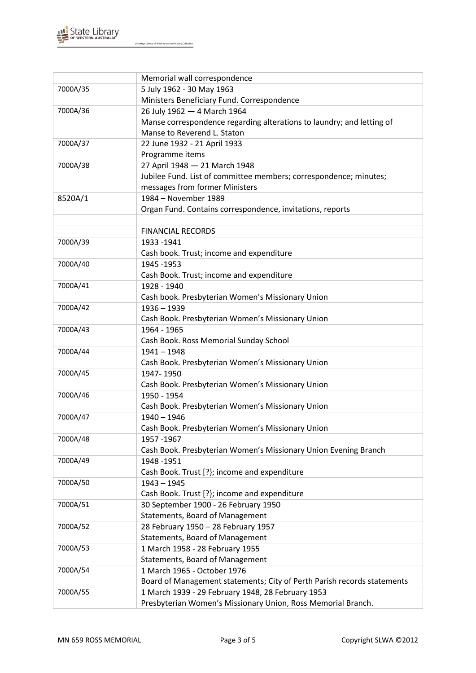

|          | Memorial wall correspondence                                            |
|----------|-------------------------------------------------------------------------|
| 7000A/35 | 5 July 1962 - 30 May 1963                                               |
|          | Ministers Beneficiary Fund. Correspondence                              |
| 7000A/36 | 26 July 1962 - 4 March 1964                                             |
|          | Manse correspondence regarding alterations to laundry; and letting of   |
|          | Manse to Reverend L. Staton                                             |
| 7000A/37 | 22 June 1932 - 21 April 1933                                            |
|          | Programme items                                                         |
| 7000A/38 | 27 April 1948 - 21 March 1948                                           |
|          | Jubilee Fund. List of committee members; correspondence; minutes;       |
|          | messages from former Ministers                                          |
| 8520A/1  | 1984 - November 1989                                                    |
|          | Organ Fund. Contains correspondence, invitations, reports               |
|          |                                                                         |
|          | <b>FINANCIAL RECORDS</b>                                                |
| 7000A/39 | 1933 - 1941                                                             |
|          | Cash book. Trust; income and expenditure                                |
| 7000A/40 | 1945 - 1953                                                             |
|          | Cash Book. Trust; income and expenditure                                |
| 7000A/41 | 1928 - 1940                                                             |
|          | Cash book. Presbyterian Women's Missionary Union                        |
| 7000A/42 | $1936 - 1939$                                                           |
|          | Cash Book. Presbyterian Women's Missionary Union                        |
| 7000A/43 | 1964 - 1965                                                             |
|          | Cash Book. Ross Memorial Sunday School                                  |
| 7000A/44 | $1941 - 1948$                                                           |
|          | Cash Book. Presbyterian Women's Missionary Union                        |
| 7000A/45 | 1947-1950                                                               |
|          | Cash Book. Presbyterian Women's Missionary Union                        |
| 7000A/46 | 1950 - 1954                                                             |
|          | Cash Book. Presbyterian Women's Missionary Union                        |
| 7000A/47 | $1940 - 1946$                                                           |
|          | Cash Book. Presbyterian Women's Missionary Union                        |
| 7000A/48 | 1957-1967                                                               |
|          | Cash Book. Presbyterian Women's Missionary Union Evening Branch         |
| 7000A/49 | 1948 - 1951                                                             |
|          | Cash Book. Trust [?}; income and expenditure                            |
| 7000A/50 | $1943 - 1945$                                                           |
|          | Cash Book. Trust [?}; income and expenditure                            |
| 7000A/51 | 30 September 1900 - 26 February 1950                                    |
|          | Statements, Board of Management                                         |
| 7000A/52 | 28 February 1950 - 28 February 1957                                     |
|          | Statements, Board of Management                                         |
| 7000A/53 | 1 March 1958 - 28 February 1955                                         |
|          | Statements, Board of Management                                         |
| 7000A/54 | 1 March 1965 - October 1976                                             |
|          | Board of Management statements; City of Perth Parish records statements |
| 7000A/55 | 1 March 1939 - 29 February 1948, 28 February 1953                       |
|          | Presbyterian Women's Missionary Union, Ross Memorial Branch.            |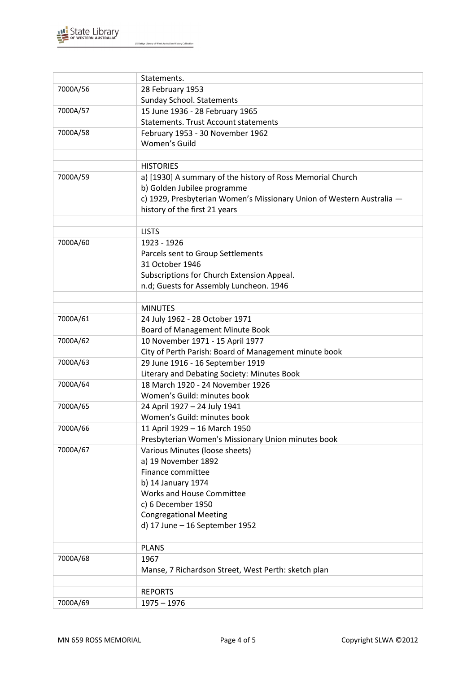

|          | Statements.                                                                           |
|----------|---------------------------------------------------------------------------------------|
| 7000A/56 |                                                                                       |
|          | 28 February 1953<br><b>Sunday School. Statements</b>                                  |
| 7000A/57 | 15 June 1936 - 28 February 1965                                                       |
|          | <b>Statements. Trust Account statements</b>                                           |
| 7000A/58 |                                                                                       |
|          | February 1953 - 30 November 1962<br>Women's Guild                                     |
|          |                                                                                       |
|          |                                                                                       |
|          | <b>HISTORIES</b>                                                                      |
| 7000A/59 | a) [1930] A summary of the history of Ross Memorial Church                            |
|          | b) Golden Jubilee programme                                                           |
|          | c) 1929, Presbyterian Women's Missionary Union of Western Australia -                 |
|          | history of the first 21 years                                                         |
|          |                                                                                       |
|          | <b>LISTS</b>                                                                          |
| 7000A/60 | 1923 - 1926                                                                           |
|          | Parcels sent to Group Settlements                                                     |
|          | 31 October 1946                                                                       |
|          | Subscriptions for Church Extension Appeal.<br>n.d; Guests for Assembly Luncheon. 1946 |
|          |                                                                                       |
|          | <b>MINUTES</b>                                                                        |
| 7000A/61 |                                                                                       |
|          | 24 July 1962 - 28 October 1971<br>Board of Management Minute Book                     |
| 7000A/62 | 10 November 1971 - 15 April 1977                                                      |
|          | City of Perth Parish: Board of Management minute book                                 |
| 7000A/63 | 29 June 1916 - 16 September 1919                                                      |
|          | Literary and Debating Society: Minutes Book                                           |
| 7000A/64 | 18 March 1920 - 24 November 1926                                                      |
|          | Women's Guild: minutes book                                                           |
| 7000A/65 | 24 April 1927 - 24 July 1941                                                          |
|          | Women's Guild: minutes book                                                           |
| 7000A/66 | 11 April 1929 - 16 March 1950                                                         |
|          | Presbyterian Women's Missionary Union minutes book                                    |
| 7000A/67 | Various Minutes (loose sheets)                                                        |
|          | a) 19 November 1892                                                                   |
|          | Finance committee                                                                     |
|          | b) 14 January 1974                                                                    |
|          | Works and House Committee                                                             |
|          | c) 6 December 1950                                                                    |
|          | <b>Congregational Meeting</b>                                                         |
|          | d) 17 June - 16 September 1952                                                        |
|          |                                                                                       |
|          | <b>PLANS</b>                                                                          |
| 7000A/68 | 1967                                                                                  |
|          | Manse, 7 Richardson Street, West Perth: sketch plan                                   |
|          |                                                                                       |
|          | <b>REPORTS</b>                                                                        |
| 7000A/69 | $1975 - 1976$                                                                         |